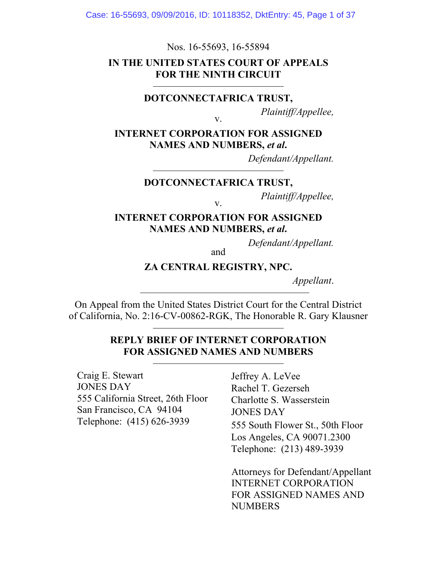Case: 16-55693, 09/09/2016, ID: 10118352, DktEntry: 45, Page 1 of 37

Nos. 16-55693, 16-55894

### **IN THE UNITED STATES COURT OF APPEALS FOR THE NINTH CIRCUIT**

#### **DOTCONNECTAFRICA TRUST,**

*Plaintiff/Appellee,* 

**INTERNET CORPORATION FOR ASSIGNED NAMES AND NUMBERS,** *et al***.**

v.

*Defendant/Appellant.* 

**DOTCONNECTAFRICA TRUST,** 

*Plaintiff/Appellee,* 

**INTERNET CORPORATION FOR ASSIGNED NAMES AND NUMBERS,** *et al***.**

v.

*Defendant/Appellant.* and

**ZA CENTRAL REGISTRY, NPC.** 

*Appellant*.

On Appeal from the United States District Court for the Central District of California, No. 2:16-CV-00862-RGK, The Honorable R. Gary Klausner

### **REPLY BRIEF OF INTERNET CORPORATION FOR ASSIGNED NAMES AND NUMBERS**

Craig E. Stewart JONES DAY 555 California Street, 26th Floor San Francisco, CA 94104 Telephone: (415) 626-3939

Jeffrey A. LeVee Rachel T. Gezerseh Charlotte S. Wasserstein JONES DAY 555 South Flower St., 50th Floor Los Angeles, CA 90071.2300 Telephone: (213) 489-3939

Attorneys for Defendant/Appellant INTERNET CORPORATION FOR ASSIGNED NAMES AND **NUMBERS**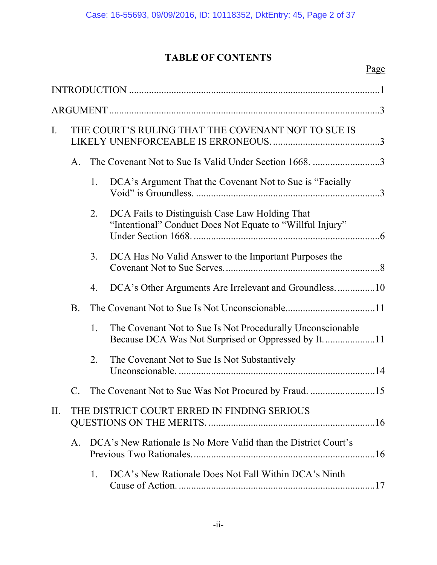# **TABLE OF CONTENTS**

| $\mathbf{I}$ . |                                             | THE COURT'S RULING THAT THE COVENANT NOT TO SUE IS             |                                                                                                             |  |  |  |  |
|----------------|---------------------------------------------|----------------------------------------------------------------|-------------------------------------------------------------------------------------------------------------|--|--|--|--|
|                | A.                                          | The Covenant Not to Sue Is Valid Under Section 1668. 3         |                                                                                                             |  |  |  |  |
|                |                                             | 1.                                                             | DCA's Argument That the Covenant Not to Sue is "Facially                                                    |  |  |  |  |
|                |                                             | 2.                                                             | DCA Fails to Distinguish Case Law Holding That<br>"Intentional" Conduct Does Not Equate to "Willful Injury" |  |  |  |  |
|                |                                             | 3.                                                             | DCA Has No Valid Answer to the Important Purposes the                                                       |  |  |  |  |
|                |                                             | 4.                                                             |                                                                                                             |  |  |  |  |
|                | <b>B</b> .                                  |                                                                |                                                                                                             |  |  |  |  |
|                |                                             | 1.                                                             | The Covenant Not to Sue Is Not Procedurally Unconscionable                                                  |  |  |  |  |
|                |                                             | 2.                                                             | The Covenant Not to Sue Is Not Substantively                                                                |  |  |  |  |
|                | $\mathcal{C}$                               |                                                                |                                                                                                             |  |  |  |  |
| II.            | THE DISTRICT COURT ERRED IN FINDING SERIOUS |                                                                |                                                                                                             |  |  |  |  |
|                | $\mathsf{A}$ .                              | DCA's New Rationale Is No More Valid than the District Court's |                                                                                                             |  |  |  |  |
|                |                                             | $\mathbf{1}$ .                                                 | DCA's New Rationale Does Not Fall Within DCA's Ninth                                                        |  |  |  |  |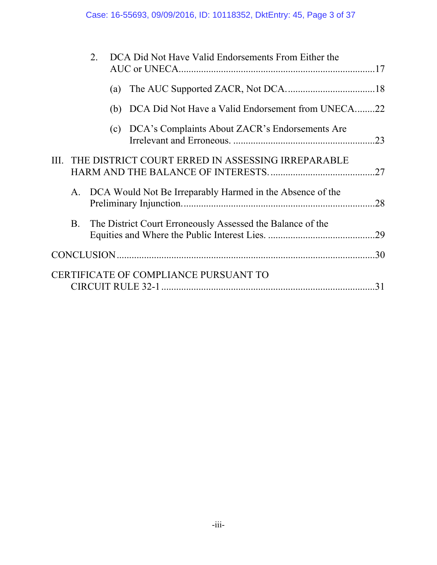|                                                         | 2.        |  |     | DCA Did Not Have Valid Endorsements From Either the        |     |
|---------------------------------------------------------|-----------|--|-----|------------------------------------------------------------|-----|
|                                                         |           |  | (a) |                                                            |     |
|                                                         |           |  |     | (b) DCA Did Not Have a Valid Endorsement from UNECA        | .22 |
|                                                         |           |  |     | (c) DCA's Complaints About ZACR's Endorsements Are         | .23 |
| THE DISTRICT COURT ERRED IN ASSESSING IRREPARABLE<br>Ш. |           |  |     |                                                            |     |
|                                                         | A.        |  |     | DCA Would Not Be Irreparably Harmed in the Absence of the  | 28  |
|                                                         | <b>B.</b> |  |     | The District Court Erroneously Assessed the Balance of the | .29 |
|                                                         |           |  |     |                                                            | .30 |
|                                                         |           |  |     | CERTIFICATE OF COMPLIANCE PURSUANT TO                      | 31  |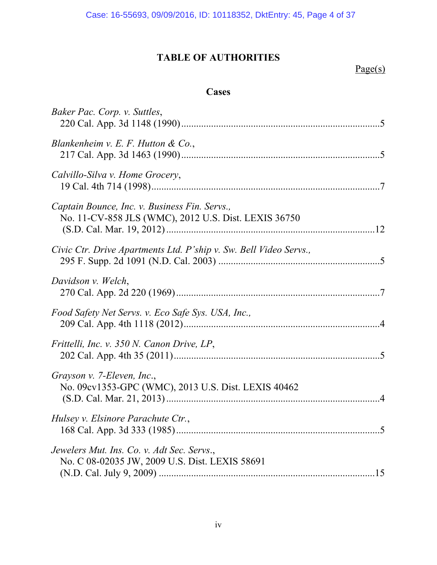# **TABLE OF AUTHORITIES**

# Page(s)

# **Cases**

| Baker Pac. Corp. v. Suttles,                                                                          |  |
|-------------------------------------------------------------------------------------------------------|--|
| Blankenheim v. E. F. Hutton & Co.,                                                                    |  |
| Calvillo-Silva v. Home Grocery,                                                                       |  |
| Captain Bounce, Inc. v. Business Fin. Servs.,<br>No. 11-CV-858 JLS (WMC), 2012 U.S. Dist. LEXIS 36750 |  |
| Civic Ctr. Drive Apartments Ltd. P'ship v. Sw. Bell Video Servs.,                                     |  |
| Davidson v. Welch,                                                                                    |  |
| Food Safety Net Servs. v. Eco Safe Sys. USA, Inc.,                                                    |  |
| Frittelli, Inc. v. 350 N. Canon Drive, LP,                                                            |  |
| Grayson v. 7-Eleven, Inc.,<br>No. 09cv1353-GPC (WMC), 2013 U.S. Dist. LEXIS 40462                     |  |
| Hulsey v. Elsinore Parachute Ctr.,                                                                    |  |
| Jewelers Mut. Ins. Co. v. Adt Sec. Servs.,<br>No. C 08-02035 JW, 2009 U.S. Dist. LEXIS 58691          |  |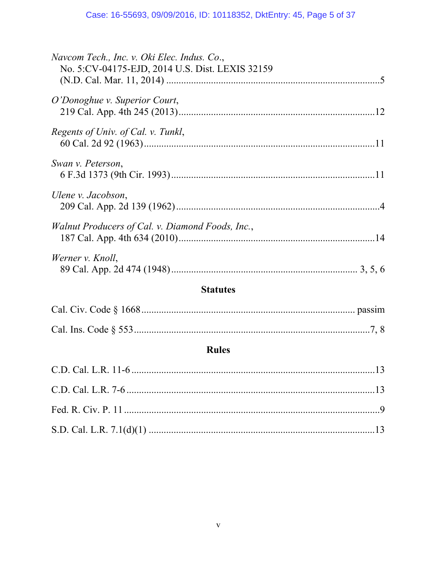| Navcom Tech., Inc. v. Oki Elec. Indus. Co.,<br>No. 5:CV-04175-EJD, 2014 U.S. Dist. LEXIS 32159 |  |  |  |  |  |  |
|------------------------------------------------------------------------------------------------|--|--|--|--|--|--|
| O'Donoghue v. Superior Court,                                                                  |  |  |  |  |  |  |
| Regents of Univ. of Cal. v. Tunkl,                                                             |  |  |  |  |  |  |
| Swan v. Peterson,                                                                              |  |  |  |  |  |  |
| Ulene v. Jacobson,                                                                             |  |  |  |  |  |  |
| Walnut Producers of Cal. v. Diamond Foods, Inc.,                                               |  |  |  |  |  |  |
| Werner v. Knoll,                                                                               |  |  |  |  |  |  |
| <b>Statutes</b>                                                                                |  |  |  |  |  |  |
|                                                                                                |  |  |  |  |  |  |
|                                                                                                |  |  |  |  |  |  |
| <b>Rules</b>                                                                                   |  |  |  |  |  |  |
|                                                                                                |  |  |  |  |  |  |
|                                                                                                |  |  |  |  |  |  |
|                                                                                                |  |  |  |  |  |  |
|                                                                                                |  |  |  |  |  |  |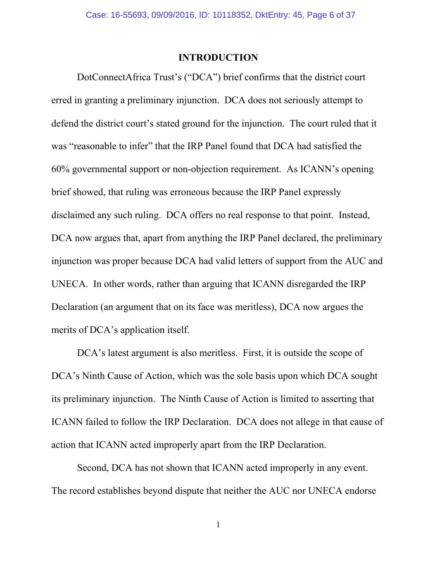#### **INTRODUCTION**

DotConnectAfrica Trust's ("DCA") brief confirms that the district court erred in granting a preliminary injunction. DCA does not seriously attempt to defend the district court's stated ground for the injunction. The court ruled that it was "reasonable to infer" that the IRP Panel found that DCA had satisfied the 60% governmental support or non-objection requirement. As ICANN's opening brief showed, that ruling was erroneous because the IRP Panel expressly disclaimed any such ruling. DCA offers no real response to that point. Instead, DCA now argues that, apart from anything the IRP Panel declared, the preliminary injunction was proper because DCA had valid letters of support from the AUC and UNECA. In other words, rather than arguing that ICANN disregarded the IRP Declaration (an argument that on its face was meritless), DCA now argues the merits of DCA's application itself.

DCA's latest argument is also meritless. First, it is outside the scope of DCA's Ninth Cause of Action, which was the sole basis upon which DCA sought its preliminary injunction. The Ninth Cause of Action is limited to asserting that ICANN failed to follow the IRP Declaration. DCA does not allege in that cause of action that ICANN acted improperly apart from the IRP Declaration.

Second, DCA has not shown that ICANN acted improperly in any event. The record establishes beyond dispute that neither the AUC nor UNECA endorse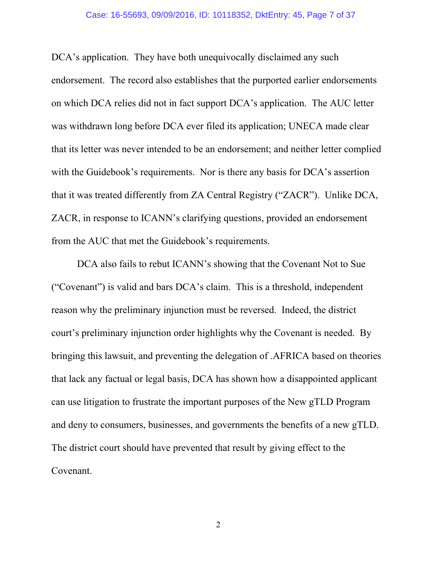DCA's application. They have both unequivocally disclaimed any such endorsement. The record also establishes that the purported earlier endorsements on which DCA relies did not in fact support DCA's application. The AUC letter was withdrawn long before DCA ever filed its application; UNECA made clear that its letter was never intended to be an endorsement; and neither letter complied with the Guidebook's requirements. Nor is there any basis for DCA's assertion that it was treated differently from ZA Central Registry ("ZACR"). Unlike DCA, ZACR, in response to ICANN's clarifying questions, provided an endorsement from the AUC that met the Guidebook's requirements.

DCA also fails to rebut ICANN's showing that the Covenant Not to Sue ("Covenant") is valid and bars DCA's claim. This is a threshold, independent reason why the preliminary injunction must be reversed. Indeed, the district court's preliminary injunction order highlights why the Covenant is needed. By bringing this lawsuit, and preventing the delegation of .AFRICA based on theories that lack any factual or legal basis, DCA has shown how a disappointed applicant can use litigation to frustrate the important purposes of the New gTLD Program and deny to consumers, businesses, and governments the benefits of a new gTLD. The district court should have prevented that result by giving effect to the Covenant.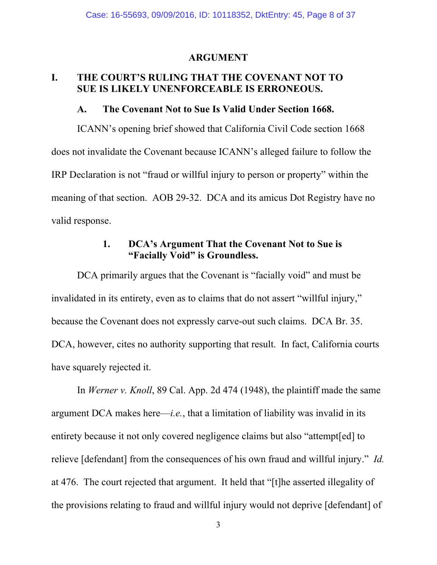#### **ARGUMENT**

### **I. THE COURT'S RULING THAT THE COVENANT NOT TO SUE IS LIKELY UNENFORCEABLE IS ERRONEOUS.**

#### **A. The Covenant Not to Sue Is Valid Under Section 1668.**

ICANN's opening brief showed that California Civil Code section 1668 does not invalidate the Covenant because ICANN's alleged failure to follow the IRP Declaration is not "fraud or willful injury to person or property" within the meaning of that section. AOB 29-32. DCA and its amicus Dot Registry have no valid response.

## **1. DCA's Argument That the Covenant Not to Sue is "Facially Void" is Groundless.**

DCA primarily argues that the Covenant is "facially void" and must be invalidated in its entirety, even as to claims that do not assert "willful injury," because the Covenant does not expressly carve-out such claims. DCA Br. 35. DCA, however, cites no authority supporting that result. In fact, California courts have squarely rejected it.

In *Werner v. Knoll*, 89 Cal. App. 2d 474 (1948), the plaintiff made the same argument DCA makes here—*i.e.*, that a limitation of liability was invalid in its entirety because it not only covered negligence claims but also "attempt[ed] to relieve [defendant] from the consequences of his own fraud and willful injury." *Id.* at 476. The court rejected that argument. It held that "[t]he asserted illegality of the provisions relating to fraud and willful injury would not deprive [defendant] of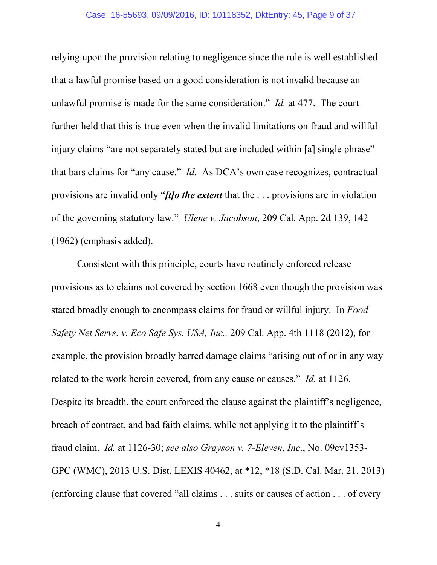relying upon the provision relating to negligence since the rule is well established that a lawful promise based on a good consideration is not invalid because an unlawful promise is made for the same consideration." *Id.* at 477. The court further held that this is true even when the invalid limitations on fraud and willful injury claims "are not separately stated but are included within [a] single phrase" that bars claims for "any cause." *Id*. As DCA's own case recognizes, contractual provisions are invalid only "*[t]o the extent* that the . . . provisions are in violation of the governing statutory law." *Ulene v. Jacobson*, 209 Cal. App. 2d 139, 142 (1962) (emphasis added).

Consistent with this principle, courts have routinely enforced release provisions as to claims not covered by section 1668 even though the provision was stated broadly enough to encompass claims for fraud or willful injury. In *Food Safety Net Servs. v. Eco Safe Sys. USA, Inc.,* 209 Cal. App. 4th 1118 (2012), for example, the provision broadly barred damage claims "arising out of or in any way related to the work herein covered, from any cause or causes." *Id.* at 1126. Despite its breadth, the court enforced the clause against the plaintiff's negligence, breach of contract, and bad faith claims, while not applying it to the plaintiff's fraud claim. *Id.* at 1126-30; *see also Grayson v. 7-Eleven, Inc*., No. 09cv1353- GPC (WMC), 2013 U.S. Dist. LEXIS 40462, at \*12, \*18 (S.D. Cal. Mar. 21, 2013) (enforcing clause that covered "all claims . . . suits or causes of action . . . of every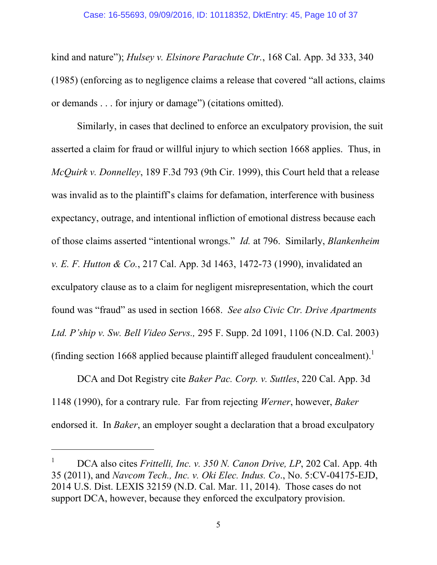kind and nature"); *Hulsey v. Elsinore Parachute Ctr.*, 168 Cal. App. 3d 333, 340 (1985) (enforcing as to negligence claims a release that covered "all actions, claims or demands . . . for injury or damage") (citations omitted).

Similarly, in cases that declined to enforce an exculpatory provision, the suit asserted a claim for fraud or willful injury to which section 1668 applies. Thus, in *McQuirk v. Donnelley*, 189 F.3d 793 (9th Cir. 1999), this Court held that a release was invalid as to the plaintiff's claims for defamation, interference with business expectancy, outrage, and intentional infliction of emotional distress because each of those claims asserted "intentional wrongs." *Id.* at 796. Similarly, *Blankenheim v. E. F. Hutton & Co.*, 217 Cal. App. 3d 1463, 1472-73 (1990), invalidated an exculpatory clause as to a claim for negligent misrepresentation, which the court found was "fraud" as used in section 1668. *See also Civic Ctr. Drive Apartments Ltd. P'ship v. Sw. Bell Video Servs.,* 295 F. Supp. 2d 1091, 1106 (N.D. Cal. 2003) (finding section 1668 applied because plaintiff alleged fraudulent concealment).<sup>1</sup>

DCA and Dot Registry cite *Baker Pac. Corp. v. Suttles*, 220 Cal. App. 3d 1148 (1990), for a contrary rule. Far from rejecting *Werner*, however, *Baker* endorsed it. In *Baker*, an employer sought a declaration that a broad exculpatory

<sup>1</sup> DCA also cites *Frittelli, Inc. v. 350 N. Canon Drive, LP*, 202 Cal. App. 4th 35 (2011), and *Navcom Tech., Inc. v. Oki Elec. Indus. Co*., No. 5:CV-04175-EJD, 2014 U.S. Dist. LEXIS 32159 (N.D. Cal. Mar. 11, 2014). Those cases do not support DCA, however, because they enforced the exculpatory provision.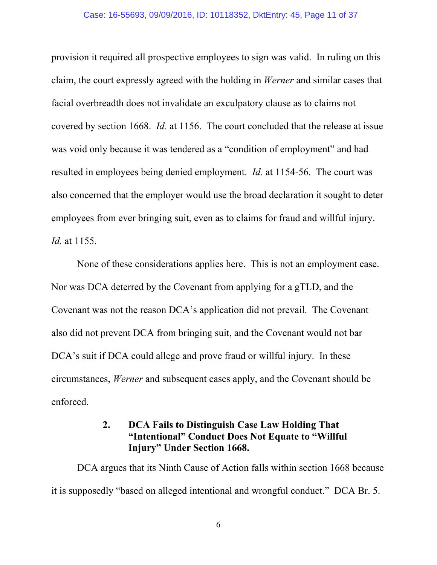#### Case: 16-55693, 09/09/2016, ID: 10118352, DktEntry: 45, Page 11 of 37

provision it required all prospective employees to sign was valid. In ruling on this claim, the court expressly agreed with the holding in *Werner* and similar cases that facial overbreadth does not invalidate an exculpatory clause as to claims not covered by section 1668. *Id.* at 1156. The court concluded that the release at issue was void only because it was tendered as a "condition of employment" and had resulted in employees being denied employment. *Id.* at 1154-56. The court was also concerned that the employer would use the broad declaration it sought to deter employees from ever bringing suit, even as to claims for fraud and willful injury. *Id.* at 1155.

None of these considerations applies here. This is not an employment case. Nor was DCA deterred by the Covenant from applying for a gTLD, and the Covenant was not the reason DCA's application did not prevail. The Covenant also did not prevent DCA from bringing suit, and the Covenant would not bar DCA's suit if DCA could allege and prove fraud or willful injury. In these circumstances, *Werner* and subsequent cases apply, and the Covenant should be enforced.

## **2. DCA Fails to Distinguish Case Law Holding That "Intentional" Conduct Does Not Equate to "Willful Injury" Under Section 1668.**

DCA argues that its Ninth Cause of Action falls within section 1668 because it is supposedly "based on alleged intentional and wrongful conduct." DCA Br. 5.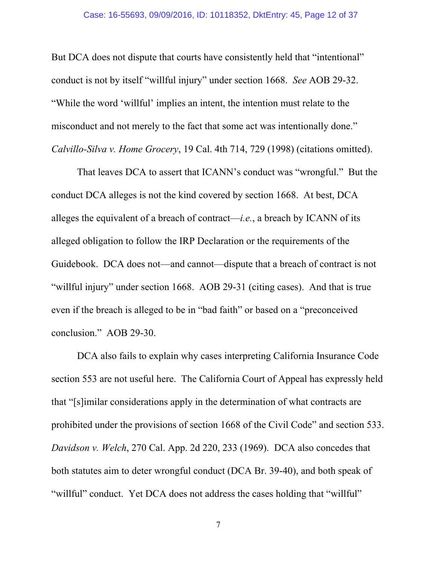But DCA does not dispute that courts have consistently held that "intentional" conduct is not by itself "willful injury" under section 1668. *See* AOB 29-32. "While the word 'willful' implies an intent, the intention must relate to the misconduct and not merely to the fact that some act was intentionally done." *Calvillo-Silva v. Home Grocery*, 19 Cal. 4th 714, 729 (1998) (citations omitted).

That leaves DCA to assert that ICANN's conduct was "wrongful." But the conduct DCA alleges is not the kind covered by section 1668. At best, DCA alleges the equivalent of a breach of contract—*i.e.*, a breach by ICANN of its alleged obligation to follow the IRP Declaration or the requirements of the Guidebook. DCA does not—and cannot—dispute that a breach of contract is not "willful injury" under section 1668. AOB 29-31 (citing cases). And that is true even if the breach is alleged to be in "bad faith" or based on a "preconceived conclusion." AOB 29-30.

DCA also fails to explain why cases interpreting California Insurance Code section 553 are not useful here. The California Court of Appeal has expressly held that "[s]imilar considerations apply in the determination of what contracts are prohibited under the provisions of section 1668 of the Civil Code" and section 533. *Davidson v. Welch*, 270 Cal. App. 2d 220, 233 (1969). DCA also concedes that both statutes aim to deter wrongful conduct (DCA Br. 39-40), and both speak of "willful" conduct. Yet DCA does not address the cases holding that "willful"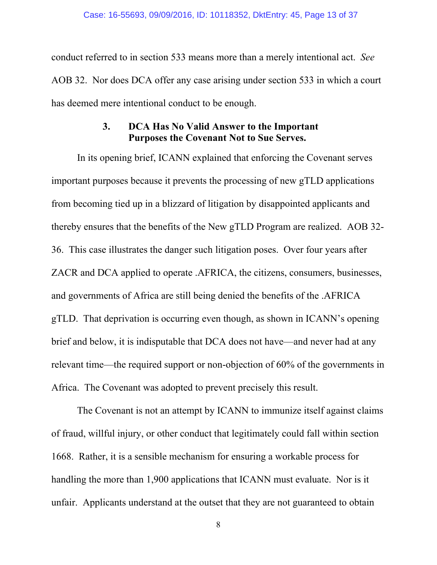conduct referred to in section 533 means more than a merely intentional act. *See* AOB 32. Nor does DCA offer any case arising under section 533 in which a court has deemed mere intentional conduct to be enough.

# **3. DCA Has No Valid Answer to the Important Purposes the Covenant Not to Sue Serves.**

In its opening brief, ICANN explained that enforcing the Covenant serves important purposes because it prevents the processing of new gTLD applications from becoming tied up in a blizzard of litigation by disappointed applicants and thereby ensures that the benefits of the New gTLD Program are realized. AOB 32- 36. This case illustrates the danger such litigation poses. Over four years after ZACR and DCA applied to operate .AFRICA, the citizens, consumers, businesses, and governments of Africa are still being denied the benefits of the .AFRICA gTLD. That deprivation is occurring even though, as shown in ICANN's opening brief and below, it is indisputable that DCA does not have—and never had at any relevant time—the required support or non-objection of 60% of the governments in Africa. The Covenant was adopted to prevent precisely this result.

The Covenant is not an attempt by ICANN to immunize itself against claims of fraud, willful injury, or other conduct that legitimately could fall within section 1668. Rather, it is a sensible mechanism for ensuring a workable process for handling the more than 1,900 applications that ICANN must evaluate. Nor is it unfair. Applicants understand at the outset that they are not guaranteed to obtain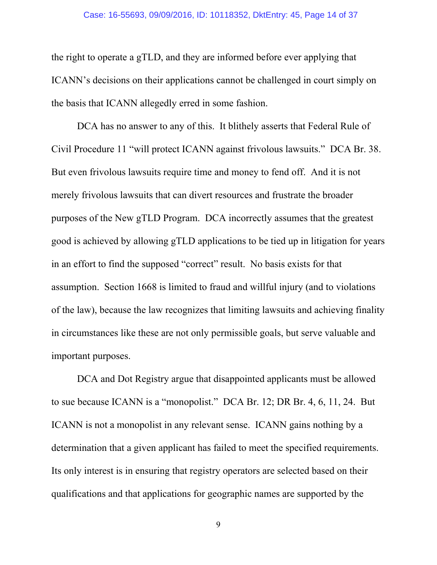the right to operate a gTLD, and they are informed before ever applying that ICANN's decisions on their applications cannot be challenged in court simply on the basis that ICANN allegedly erred in some fashion.

DCA has no answer to any of this. It blithely asserts that Federal Rule of Civil Procedure 11 "will protect ICANN against frivolous lawsuits." DCA Br. 38. But even frivolous lawsuits require time and money to fend off. And it is not merely frivolous lawsuits that can divert resources and frustrate the broader purposes of the New gTLD Program. DCA incorrectly assumes that the greatest good is achieved by allowing gTLD applications to be tied up in litigation for years in an effort to find the supposed "correct" result. No basis exists for that assumption. Section 1668 is limited to fraud and willful injury (and to violations of the law), because the law recognizes that limiting lawsuits and achieving finality in circumstances like these are not only permissible goals, but serve valuable and important purposes.

DCA and Dot Registry argue that disappointed applicants must be allowed to sue because ICANN is a "monopolist." DCA Br. 12; DR Br. 4, 6, 11, 24. But ICANN is not a monopolist in any relevant sense. ICANN gains nothing by a determination that a given applicant has failed to meet the specified requirements. Its only interest is in ensuring that registry operators are selected based on their qualifications and that applications for geographic names are supported by the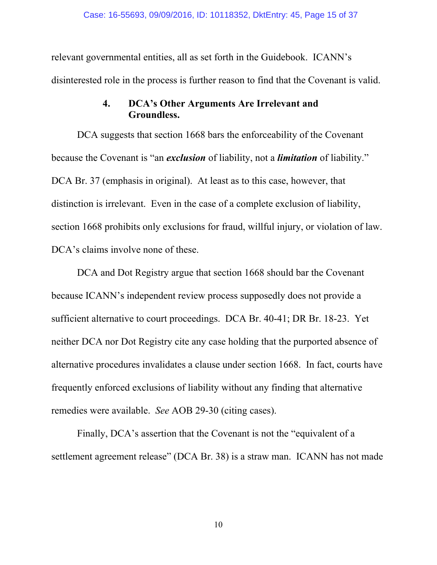relevant governmental entities, all as set forth in the Guidebook. ICANN's disinterested role in the process is further reason to find that the Covenant is valid.

# **4. DCA's Other Arguments Are Irrelevant and Groundless.**

DCA suggests that section 1668 bars the enforceability of the Covenant because the Covenant is "an *exclusion* of liability, not a *limitation* of liability." DCA Br. 37 (emphasis in original). At least as to this case, however, that distinction is irrelevant. Even in the case of a complete exclusion of liability, section 1668 prohibits only exclusions for fraud, willful injury, or violation of law. DCA's claims involve none of these.

DCA and Dot Registry argue that section 1668 should bar the Covenant because ICANN's independent review process supposedly does not provide a sufficient alternative to court proceedings. DCA Br. 40-41; DR Br. 18-23. Yet neither DCA nor Dot Registry cite any case holding that the purported absence of alternative procedures invalidates a clause under section 1668. In fact, courts have frequently enforced exclusions of liability without any finding that alternative remedies were available. *See* AOB 29-30 (citing cases).

Finally, DCA's assertion that the Covenant is not the "equivalent of a settlement agreement release" (DCA Br. 38) is a straw man. ICANN has not made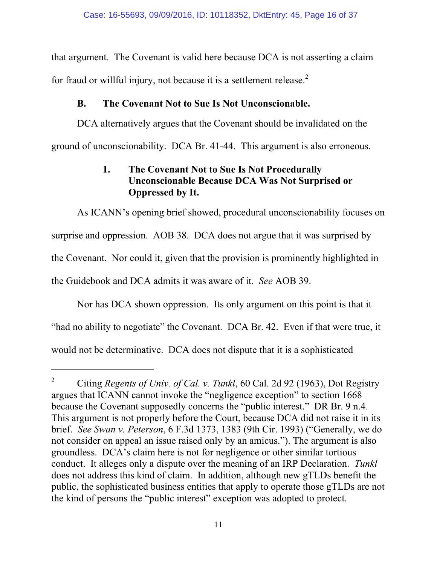that argument. The Covenant is valid here because DCA is not asserting a claim for fraud or willful injury, not because it is a settlement release.<sup>2</sup>

# **B. The Covenant Not to Sue Is Not Unconscionable.**

DCA alternatively argues that the Covenant should be invalidated on the ground of unconscionability. DCA Br. 41-44. This argument is also erroneous.

# **1. The Covenant Not to Sue Is Not Procedurally Unconscionable Because DCA Was Not Surprised or Oppressed by It.**

As ICANN's opening brief showed, procedural unconscionability focuses on surprise and oppression. AOB 38. DCA does not argue that it was surprised by the Covenant. Nor could it, given that the provision is prominently highlighted in the Guidebook and DCA admits it was aware of it. *See* AOB 39.

Nor has DCA shown oppression. Its only argument on this point is that it "had no ability to negotiate" the Covenant. DCA Br. 42. Even if that were true, it would not be determinative. DCA does not dispute that it is a sophisticated

<sup>2</sup> Citing *Regents of Univ. of Cal. v. Tunkl*, 60 Cal. 2d 92 (1963), Dot Registry argues that ICANN cannot invoke the "negligence exception" to section 1668 because the Covenant supposedly concerns the "public interest." DR Br. 9 n.4. This argument is not properly before the Court, because DCA did not raise it in its brief. *See Swan v. Peterson*, 6 F.3d 1373, 1383 (9th Cir. 1993) ("Generally, we do not consider on appeal an issue raised only by an amicus."). The argument is also groundless. DCA's claim here is not for negligence or other similar tortious conduct. It alleges only a dispute over the meaning of an IRP Declaration. *Tunkl* does not address this kind of claim. In addition, although new gTLDs benefit the public, the sophisticated business entities that apply to operate those gTLDs are not the kind of persons the "public interest" exception was adopted to protect.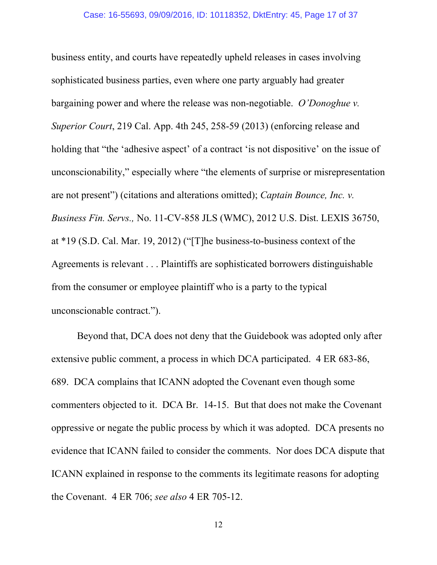business entity, and courts have repeatedly upheld releases in cases involving sophisticated business parties, even where one party arguably had greater bargaining power and where the release was non-negotiable. *O'Donoghue v. Superior Court*, 219 Cal. App. 4th 245, 258-59 (2013) (enforcing release and holding that "the 'adhesive aspect' of a contract 'is not dispositive' on the issue of unconscionability," especially where "the elements of surprise or misrepresentation are not present") (citations and alterations omitted); *Captain Bounce, Inc. v. Business Fin. Servs.,* No. 11-CV-858 JLS (WMC), 2012 U.S. Dist. LEXIS 36750, at \*19 (S.D. Cal. Mar. 19, 2012) ("[T]he business-to-business context of the Agreements is relevant . . . Plaintiffs are sophisticated borrowers distinguishable from the consumer or employee plaintiff who is a party to the typical unconscionable contract.").

Beyond that, DCA does not deny that the Guidebook was adopted only after extensive public comment, a process in which DCA participated. 4 ER 683-86, 689. DCA complains that ICANN adopted the Covenant even though some commenters objected to it. DCA Br. 14-15. But that does not make the Covenant oppressive or negate the public process by which it was adopted. DCA presents no evidence that ICANN failed to consider the comments. Nor does DCA dispute that ICANN explained in response to the comments its legitimate reasons for adopting the Covenant. 4 ER 706; *see also* 4 ER 705-12.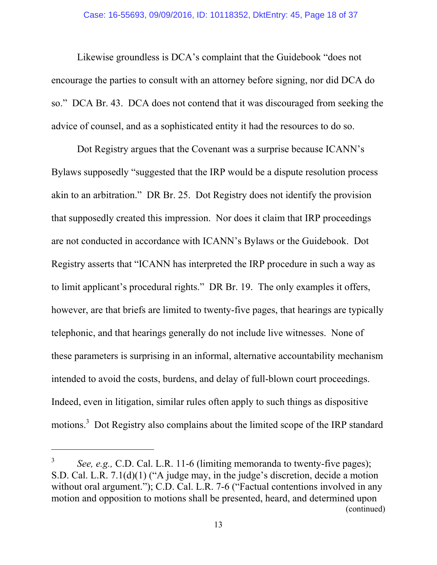Likewise groundless is DCA's complaint that the Guidebook "does not encourage the parties to consult with an attorney before signing, nor did DCA do so." DCA Br. 43. DCA does not contend that it was discouraged from seeking the advice of counsel, and as a sophisticated entity it had the resources to do so.

Dot Registry argues that the Covenant was a surprise because ICANN's Bylaws supposedly "suggested that the IRP would be a dispute resolution process akin to an arbitration." DR Br. 25. Dot Registry does not identify the provision that supposedly created this impression. Nor does it claim that IRP proceedings are not conducted in accordance with ICANN's Bylaws or the Guidebook. Dot Registry asserts that "ICANN has interpreted the IRP procedure in such a way as to limit applicant's procedural rights." DR Br. 19. The only examples it offers, however, are that briefs are limited to twenty-five pages, that hearings are typically telephonic, and that hearings generally do not include live witnesses. None of these parameters is surprising in an informal, alternative accountability mechanism intended to avoid the costs, burdens, and delay of full-blown court proceedings. Indeed, even in litigation, similar rules often apply to such things as dispositive motions.<sup>3</sup> Dot Registry also complains about the limited scope of the IRP standard

<sup>3</sup> *See, e.g.,* C.D. Cal. L.R. 11-6 (limiting memoranda to twenty-five pages); S.D. Cal. L.R. 7.1(d)(1) ("A judge may, in the judge's discretion, decide a motion without oral argument."); C.D. Cal. L.R. 7-6 ("Factual contentions involved in any motion and opposition to motions shall be presented, heard, and determined upon (continued)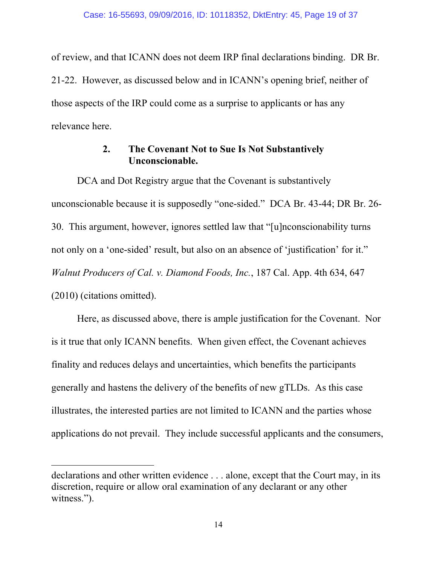of review, and that ICANN does not deem IRP final declarations binding. DR Br. 21-22. However, as discussed below and in ICANN's opening brief, neither of those aspects of the IRP could come as a surprise to applicants or has any relevance here.

# **2. The Covenant Not to Sue Is Not Substantively Unconscionable.**

DCA and Dot Registry argue that the Covenant is substantively unconscionable because it is supposedly "one-sided." DCA Br. 43-44; DR Br. 26- 30. This argument, however, ignores settled law that "[u]nconscionability turns not only on a 'one-sided' result, but also on an absence of 'justification' for it." *Walnut Producers of Cal. v. Diamond Foods, Inc.*, 187 Cal. App. 4th 634, 647 (2010) (citations omitted).

Here, as discussed above, there is ample justification for the Covenant. Nor is it true that only ICANN benefits. When given effect, the Covenant achieves finality and reduces delays and uncertainties, which benefits the participants generally and hastens the delivery of the benefits of new gTLDs. As this case illustrates, the interested parties are not limited to ICANN and the parties whose applications do not prevail. They include successful applicants and the consumers,

declarations and other written evidence . . . alone, except that the Court may, in its discretion, require or allow oral examination of any declarant or any other witness.").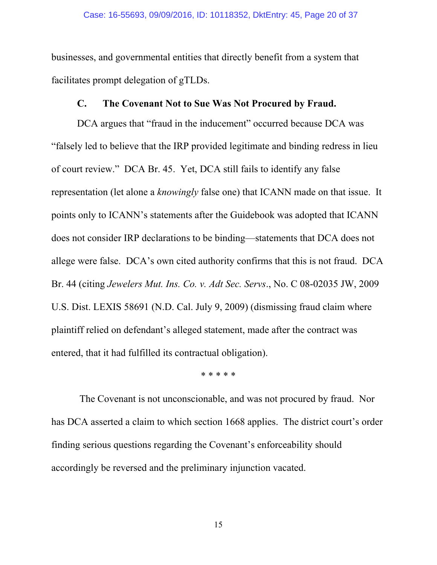businesses, and governmental entities that directly benefit from a system that facilitates prompt delegation of gTLDs.

#### **C. The Covenant Not to Sue Was Not Procured by Fraud.**

DCA argues that "fraud in the inducement" occurred because DCA was "falsely led to believe that the IRP provided legitimate and binding redress in lieu of court review." DCA Br. 45. Yet, DCA still fails to identify any false representation (let alone a *knowingly* false one) that ICANN made on that issue. It points only to ICANN's statements after the Guidebook was adopted that ICANN does not consider IRP declarations to be binding—statements that DCA does not allege were false. DCA's own cited authority confirms that this is not fraud. DCA Br. 44 (citing *Jewelers Mut. Ins. Co. v. Adt Sec. Servs*., No. C 08-02035 JW, 2009 U.S. Dist. LEXIS 58691 (N.D. Cal. July 9, 2009) (dismissing fraud claim where plaintiff relied on defendant's alleged statement, made after the contract was entered, that it had fulfilled its contractual obligation).

\* \* \* \* \*

 The Covenant is not unconscionable, and was not procured by fraud. Nor has DCA asserted a claim to which section 1668 applies. The district court's order finding serious questions regarding the Covenant's enforceability should accordingly be reversed and the preliminary injunction vacated.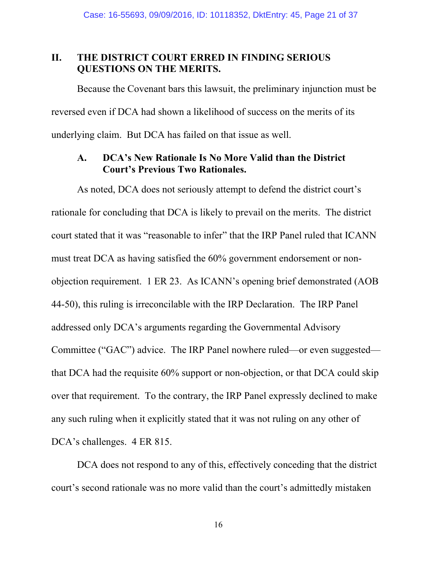### **II. THE DISTRICT COURT ERRED IN FINDING SERIOUS QUESTIONS ON THE MERITS.**

Because the Covenant bars this lawsuit, the preliminary injunction must be reversed even if DCA had shown a likelihood of success on the merits of its underlying claim. But DCA has failed on that issue as well.

# **A. DCA's New Rationale Is No More Valid than the District Court's Previous Two Rationales.**

As noted, DCA does not seriously attempt to defend the district court's rationale for concluding that DCA is likely to prevail on the merits. The district court stated that it was "reasonable to infer" that the IRP Panel ruled that ICANN must treat DCA as having satisfied the 60% government endorsement or nonobjection requirement. 1 ER 23. As ICANN's opening brief demonstrated (AOB 44-50), this ruling is irreconcilable with the IRP Declaration. The IRP Panel addressed only DCA's arguments regarding the Governmental Advisory Committee ("GAC") advice. The IRP Panel nowhere ruled—or even suggested that DCA had the requisite 60% support or non-objection, or that DCA could skip over that requirement. To the contrary, the IRP Panel expressly declined to make any such ruling when it explicitly stated that it was not ruling on any other of DCA's challenges. 4 ER 815.

DCA does not respond to any of this, effectively conceding that the district court's second rationale was no more valid than the court's admittedly mistaken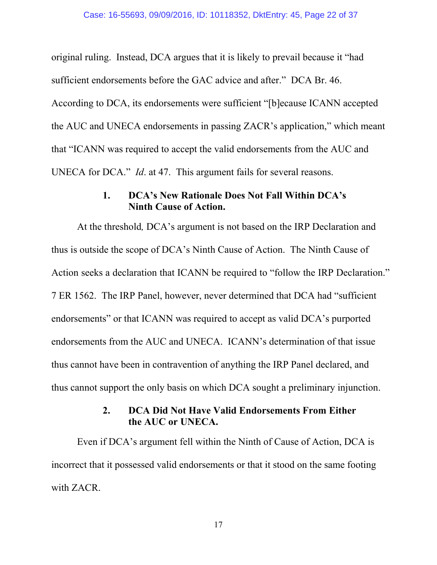original ruling. Instead, DCA argues that it is likely to prevail because it "had sufficient endorsements before the GAC advice and after." DCA Br. 46. According to DCA, its endorsements were sufficient "[b]ecause ICANN accepted the AUC and UNECA endorsements in passing ZACR's application," which meant that "ICANN was required to accept the valid endorsements from the AUC and UNECA for DCA." *Id*. at 47. This argument fails for several reasons.

## **1. DCA's New Rationale Does Not Fall Within DCA's Ninth Cause of Action.**

At the threshold*,* DCA's argument is not based on the IRP Declaration and thus is outside the scope of DCA's Ninth Cause of Action. The Ninth Cause of Action seeks a declaration that ICANN be required to "follow the IRP Declaration." 7 ER 1562. The IRP Panel, however, never determined that DCA had "sufficient endorsements" or that ICANN was required to accept as valid DCA's purported endorsements from the AUC and UNECA. ICANN's determination of that issue thus cannot have been in contravention of anything the IRP Panel declared, and thus cannot support the only basis on which DCA sought a preliminary injunction.

# **2. DCA Did Not Have Valid Endorsements From Either the AUC or UNECA.**

Even if DCA's argument fell within the Ninth of Cause of Action, DCA is incorrect that it possessed valid endorsements or that it stood on the same footing with ZACR.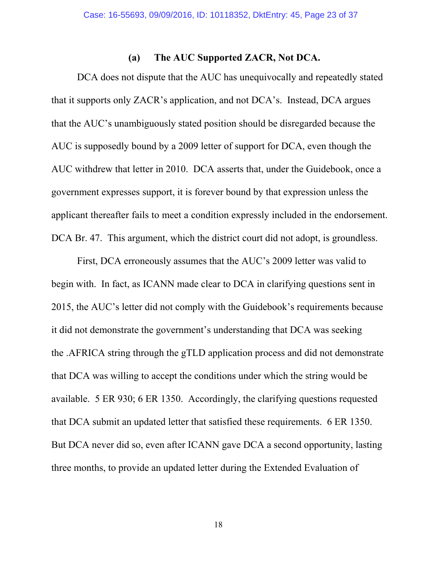#### **(a) The AUC Supported ZACR, Not DCA.**

DCA does not dispute that the AUC has unequivocally and repeatedly stated that it supports only ZACR's application, and not DCA's. Instead, DCA argues that the AUC's unambiguously stated position should be disregarded because the AUC is supposedly bound by a 2009 letter of support for DCA, even though the AUC withdrew that letter in 2010. DCA asserts that, under the Guidebook, once a government expresses support, it is forever bound by that expression unless the applicant thereafter fails to meet a condition expressly included in the endorsement. DCA Br. 47. This argument, which the district court did not adopt, is groundless.

First, DCA erroneously assumes that the AUC's 2009 letter was valid to begin with. In fact, as ICANN made clear to DCA in clarifying questions sent in 2015, the AUC's letter did not comply with the Guidebook's requirements because it did not demonstrate the government's understanding that DCA was seeking the .AFRICA string through the gTLD application process and did not demonstrate that DCA was willing to accept the conditions under which the string would be available. 5 ER 930; 6 ER 1350. Accordingly, the clarifying questions requested that DCA submit an updated letter that satisfied these requirements. 6 ER 1350. But DCA never did so, even after ICANN gave DCA a second opportunity, lasting three months, to provide an updated letter during the Extended Evaluation of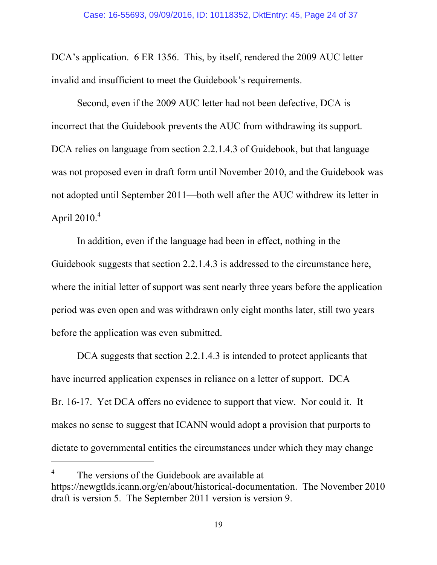DCA's application. 6 ER 1356. This, by itself, rendered the 2009 AUC letter invalid and insufficient to meet the Guidebook's requirements.

Second, even if the 2009 AUC letter had not been defective, DCA is incorrect that the Guidebook prevents the AUC from withdrawing its support. DCA relies on language from section 2.2.1.4.3 of Guidebook, but that language was not proposed even in draft form until November 2010, and the Guidebook was not adopted until September 2011—both well after the AUC withdrew its letter in April  $2010.<sup>4</sup>$ 

In addition, even if the language had been in effect, nothing in the Guidebook suggests that section 2.2.1.4.3 is addressed to the circumstance here, where the initial letter of support was sent nearly three years before the application period was even open and was withdrawn only eight months later, still two years before the application was even submitted.

DCA suggests that section 2.2.1.4.3 is intended to protect applicants that have incurred application expenses in reliance on a letter of support. DCA Br. 16-17. Yet DCA offers no evidence to support that view. Nor could it. It makes no sense to suggest that ICANN would adopt a provision that purports to dictate to governmental entities the circumstances under which they may change

<sup>4</sup> The versions of the Guidebook are available at https://newgtlds.icann.org/en/about/historical-documentation. The November 2010 draft is version 5. The September 2011 version is version 9.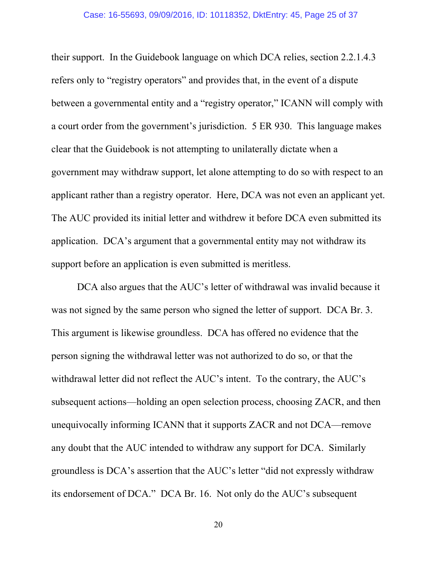#### Case: 16-55693, 09/09/2016, ID: 10118352, DktEntry: 45, Page 25 of 37

their support. In the Guidebook language on which DCA relies, section 2.2.1.4.3 refers only to "registry operators" and provides that, in the event of a dispute between a governmental entity and a "registry operator," ICANN will comply with a court order from the government's jurisdiction. 5 ER 930. This language makes clear that the Guidebook is not attempting to unilaterally dictate when a government may withdraw support, let alone attempting to do so with respect to an applicant rather than a registry operator. Here, DCA was not even an applicant yet. The AUC provided its initial letter and withdrew it before DCA even submitted its application. DCA's argument that a governmental entity may not withdraw its support before an application is even submitted is meritless.

DCA also argues that the AUC's letter of withdrawal was invalid because it was not signed by the same person who signed the letter of support. DCA Br. 3. This argument is likewise groundless. DCA has offered no evidence that the person signing the withdrawal letter was not authorized to do so, or that the withdrawal letter did not reflect the AUC's intent. To the contrary, the AUC's subsequent actions—holding an open selection process, choosing ZACR, and then unequivocally informing ICANN that it supports ZACR and not DCA—remove any doubt that the AUC intended to withdraw any support for DCA. Similarly groundless is DCA's assertion that the AUC's letter "did not expressly withdraw its endorsement of DCA." DCA Br. 16. Not only do the AUC's subsequent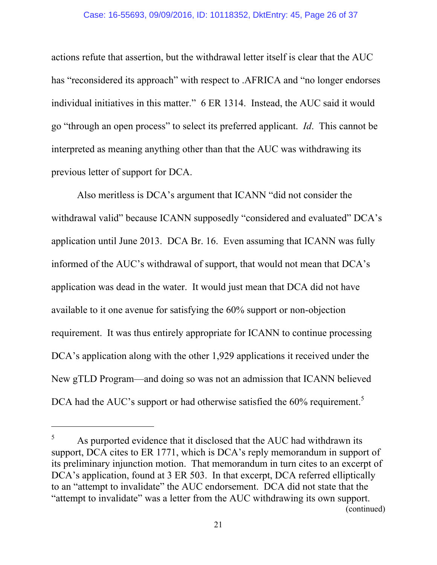#### Case: 16-55693, 09/09/2016, ID: 10118352, DktEntry: 45, Page 26 of 37

actions refute that assertion, but the withdrawal letter itself is clear that the AUC has "reconsidered its approach" with respect to .AFRICA and "no longer endorses individual initiatives in this matter." 6 ER 1314. Instead, the AUC said it would go "through an open process" to select its preferred applicant. *Id*. This cannot be interpreted as meaning anything other than that the AUC was withdrawing its previous letter of support for DCA.

Also meritless is DCA's argument that ICANN "did not consider the withdrawal valid" because ICANN supposedly "considered and evaluated" DCA's application until June 2013. DCA Br. 16. Even assuming that ICANN was fully informed of the AUC's withdrawal of support, that would not mean that DCA's application was dead in the water. It would just mean that DCA did not have available to it one avenue for satisfying the 60% support or non-objection requirement. It was thus entirely appropriate for ICANN to continue processing DCA's application along with the other 1,929 applications it received under the New gTLD Program—and doing so was not an admission that ICANN believed DCA had the AUC's support or had otherwise satisfied the 60% requirement.<sup>5</sup>

<sup>5</sup> As purported evidence that it disclosed that the AUC had withdrawn its support, DCA cites to ER 1771, which is DCA's reply memorandum in support of its preliminary injunction motion. That memorandum in turn cites to an excerpt of DCA's application, found at 3 ER 503. In that excerpt, DCA referred elliptically to an "attempt to invalidate" the AUC endorsement. DCA did not state that the "attempt to invalidate" was a letter from the AUC withdrawing its own support. (continued)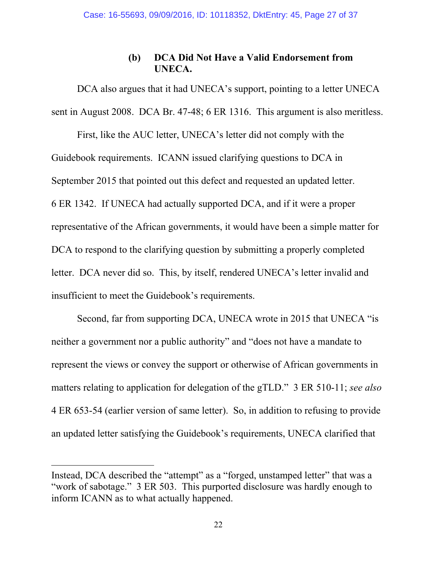# **(b) DCA Did Not Have a Valid Endorsement from UNECA.**

DCA also argues that it had UNECA's support, pointing to a letter UNECA sent in August 2008. DCA Br. 47-48; 6 ER 1316. This argument is also meritless.

First, like the AUC letter, UNECA's letter did not comply with the Guidebook requirements. ICANN issued clarifying questions to DCA in September 2015 that pointed out this defect and requested an updated letter. 6 ER 1342. If UNECA had actually supported DCA, and if it were a proper representative of the African governments, it would have been a simple matter for DCA to respond to the clarifying question by submitting a properly completed letter. DCA never did so. This, by itself, rendered UNECA's letter invalid and insufficient to meet the Guidebook's requirements.

Second, far from supporting DCA, UNECA wrote in 2015 that UNECA "is neither a government nor a public authority" and "does not have a mandate to represent the views or convey the support or otherwise of African governments in matters relating to application for delegation of the gTLD." 3 ER 510-11; *see also* 4 ER 653-54 (earlier version of same letter). So, in addition to refusing to provide an updated letter satisfying the Guidebook's requirements, UNECA clarified that

Instead, DCA described the "attempt" as a "forged, unstamped letter" that was a "work of sabotage." 3 ER 503. This purported disclosure was hardly enough to inform ICANN as to what actually happened.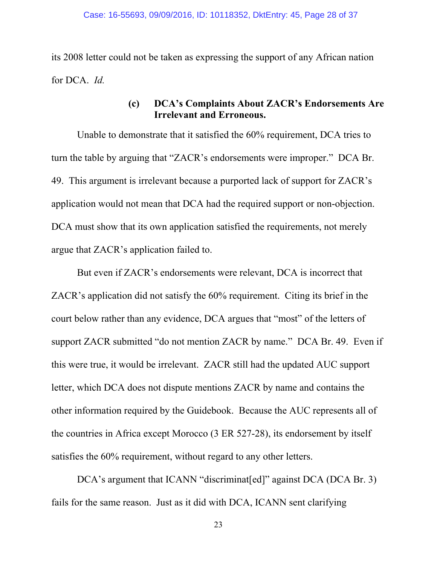its 2008 letter could not be taken as expressing the support of any African nation for DCA. *Id.* 

## **(c) DCA's Complaints About ZACR's Endorsements Are Irrelevant and Erroneous.**

Unable to demonstrate that it satisfied the 60% requirement, DCA tries to turn the table by arguing that "ZACR's endorsements were improper." DCA Br. 49. This argument is irrelevant because a purported lack of support for ZACR's application would not mean that DCA had the required support or non-objection. DCA must show that its own application satisfied the requirements, not merely argue that ZACR's application failed to.

But even if ZACR's endorsements were relevant, DCA is incorrect that ZACR's application did not satisfy the 60% requirement. Citing its brief in the court below rather than any evidence, DCA argues that "most" of the letters of support ZACR submitted "do not mention ZACR by name." DCA Br. 49. Even if this were true, it would be irrelevant. ZACR still had the updated AUC support letter, which DCA does not dispute mentions ZACR by name and contains the other information required by the Guidebook. Because the AUC represents all of the countries in Africa except Morocco (3 ER 527-28), its endorsement by itself satisfies the 60% requirement, without regard to any other letters.

DCA's argument that ICANN "discriminat[ed]" against DCA (DCA Br. 3) fails for the same reason. Just as it did with DCA, ICANN sent clarifying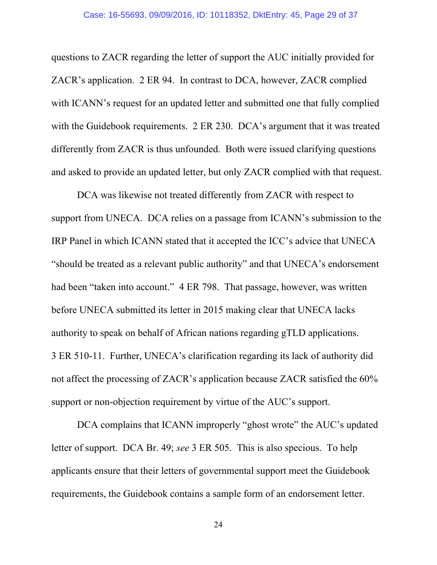questions to ZACR regarding the letter of support the AUC initially provided for ZACR's application. 2 ER 94. In contrast to DCA, however, ZACR complied with ICANN's request for an updated letter and submitted one that fully complied with the Guidebook requirements. 2 ER 230. DCA's argument that it was treated differently from ZACR is thus unfounded. Both were issued clarifying questions and asked to provide an updated letter, but only ZACR complied with that request.

DCA was likewise not treated differently from ZACR with respect to support from UNECA. DCA relies on a passage from ICANN's submission to the IRP Panel in which ICANN stated that it accepted the ICC's advice that UNECA "should be treated as a relevant public authority" and that UNECA's endorsement had been "taken into account." 4 ER 798. That passage, however, was written before UNECA submitted its letter in 2015 making clear that UNECA lacks authority to speak on behalf of African nations regarding gTLD applications. 3 ER 510-11. Further, UNECA's clarification regarding its lack of authority did not affect the processing of ZACR's application because ZACR satisfied the 60% support or non-objection requirement by virtue of the AUC's support.

DCA complains that ICANN improperly "ghost wrote" the AUC's updated letter of support. DCA Br. 49; *see* 3 ER 505. This is also specious. To help applicants ensure that their letters of governmental support meet the Guidebook requirements, the Guidebook contains a sample form of an endorsement letter.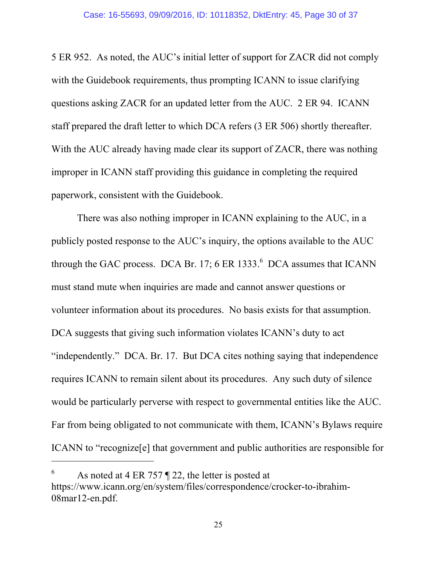5 ER 952. As noted, the AUC's initial letter of support for ZACR did not comply with the Guidebook requirements, thus prompting ICANN to issue clarifying questions asking ZACR for an updated letter from the AUC. 2 ER 94. ICANN staff prepared the draft letter to which DCA refers (3 ER 506) shortly thereafter. With the AUC already having made clear its support of ZACR, there was nothing improper in ICANN staff providing this guidance in completing the required paperwork, consistent with the Guidebook.

There was also nothing improper in ICANN explaining to the AUC, in a publicly posted response to the AUC's inquiry, the options available to the AUC through the GAC process. DCA Br. 17; 6 ER 1333. $<sup>6</sup>$  DCA assumes that ICANN</sup> must stand mute when inquiries are made and cannot answer questions or volunteer information about its procedures. No basis exists for that assumption. DCA suggests that giving such information violates ICANN's duty to act "independently." DCA. Br. 17. But DCA cites nothing saying that independence requires ICANN to remain silent about its procedures. Any such duty of silence would be particularly perverse with respect to governmental entities like the AUC. Far from being obligated to not communicate with them, ICANN's Bylaws require ICANN to "recognize[e] that government and public authorities are responsible for

<sup>6</sup> As noted at 4 ER 757 ¶ 22, the letter is posted at https://www.icann.org/en/system/files/correspondence/crocker-to-ibrahim-08mar12-en.pdf.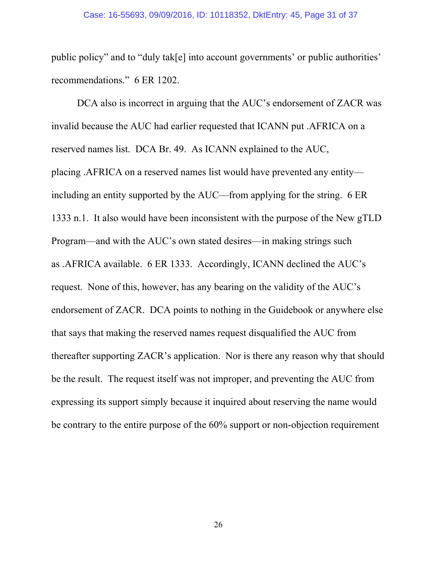#### Case: 16-55693, 09/09/2016, ID: 10118352, DktEntry: 45, Page 31 of 37

public policy" and to "duly tak[e] into account governments' or public authorities' recommendations." 6 ER 1202.

DCA also is incorrect in arguing that the AUC's endorsement of ZACR was invalid because the AUC had earlier requested that ICANN put .AFRICA on a reserved names list. DCA Br. 49. As ICANN explained to the AUC, placing .AFRICA on a reserved names list would have prevented any entity including an entity supported by the AUC—from applying for the string. 6 ER 1333 n.1. It also would have been inconsistent with the purpose of the New gTLD Program—and with the AUC's own stated desires—in making strings such as .AFRICA available. 6 ER 1333. Accordingly, ICANN declined the AUC's request. None of this, however, has any bearing on the validity of the AUC's endorsement of ZACR. DCA points to nothing in the Guidebook or anywhere else that says that making the reserved names request disqualified the AUC from thereafter supporting ZACR's application. Nor is there any reason why that should be the result. The request itself was not improper, and preventing the AUC from expressing its support simply because it inquired about reserving the name would be contrary to the entire purpose of the 60% support or non-objection requirement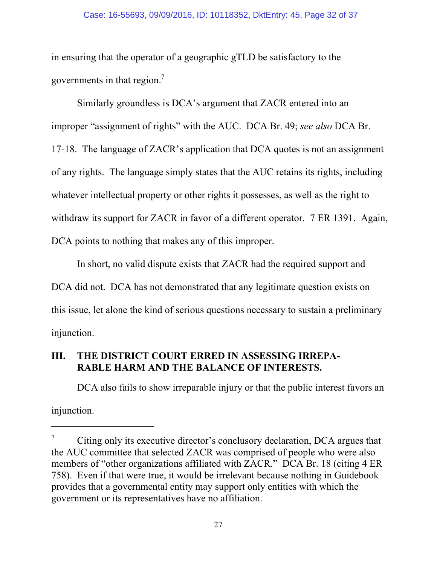#### Case: 16-55693, 09/09/2016, ID: 10118352, DktEntry: 45, Page 32 of 37

in ensuring that the operator of a geographic gTLD be satisfactory to the governments in that region.<sup>7</sup>

Similarly groundless is DCA's argument that ZACR entered into an improper "assignment of rights" with the AUC. DCA Br. 49; *see also* DCA Br. 17-18. The language of ZACR's application that DCA quotes is not an assignment of any rights. The language simply states that the AUC retains its rights, including whatever intellectual property or other rights it possesses, as well as the right to withdraw its support for ZACR in favor of a different operator. 7 ER 1391. Again, DCA points to nothing that makes any of this improper.

In short, no valid dispute exists that ZACR had the required support and DCA did not. DCA has not demonstrated that any legitimate question exists on this issue, let alone the kind of serious questions necessary to sustain a preliminary injunction.

# **III. THE DISTRICT COURT ERRED IN ASSESSING IRREPA-RABLE HARM AND THE BALANCE OF INTERESTS.**

 $\overline{a}$ 

DCA also fails to show irreparable injury or that the public interest favors an injunction.

<sup>7</sup> Citing only its executive director's conclusory declaration, DCA argues that the AUC committee that selected ZACR was comprised of people who were also members of "other organizations affiliated with ZACR." DCA Br. 18 (citing 4 ER 758). Even if that were true, it would be irrelevant because nothing in Guidebook provides that a governmental entity may support only entities with which the government or its representatives have no affiliation.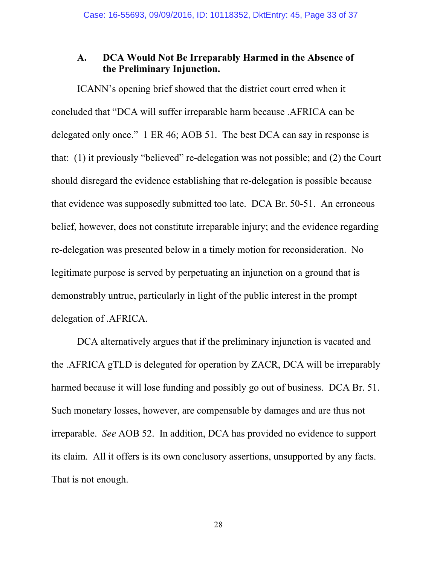### **A. DCA Would Not Be Irreparably Harmed in the Absence of the Preliminary Injunction.**

ICANN's opening brief showed that the district court erred when it concluded that "DCA will suffer irreparable harm because .AFRICA can be delegated only once." 1 ER 46; AOB 51. The best DCA can say in response is that: (1) it previously "believed" re-delegation was not possible; and (2) the Court should disregard the evidence establishing that re-delegation is possible because that evidence was supposedly submitted too late. DCA Br. 50-51. An erroneous belief, however, does not constitute irreparable injury; and the evidence regarding re-delegation was presented below in a timely motion for reconsideration. No legitimate purpose is served by perpetuating an injunction on a ground that is demonstrably untrue, particularly in light of the public interest in the prompt delegation of .AFRICA.

DCA alternatively argues that if the preliminary injunction is vacated and the .AFRICA gTLD is delegated for operation by ZACR, DCA will be irreparably harmed because it will lose funding and possibly go out of business. DCA Br. 51. Such monetary losses, however, are compensable by damages and are thus not irreparable. *See* AOB 52. In addition, DCA has provided no evidence to support its claim. All it offers is its own conclusory assertions, unsupported by any facts. That is not enough.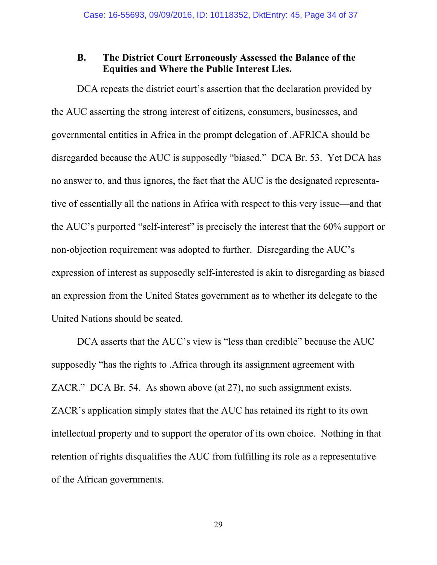### **B. The District Court Erroneously Assessed the Balance of the Equities and Where the Public Interest Lies.**

DCA repeats the district court's assertion that the declaration provided by the AUC asserting the strong interest of citizens, consumers, businesses, and governmental entities in Africa in the prompt delegation of .AFRICA should be disregarded because the AUC is supposedly "biased." DCA Br. 53. Yet DCA has no answer to, and thus ignores, the fact that the AUC is the designated representative of essentially all the nations in Africa with respect to this very issue—and that the AUC's purported "self-interest" is precisely the interest that the 60% support or non-objection requirement was adopted to further. Disregarding the AUC's expression of interest as supposedly self-interested is akin to disregarding as biased an expression from the United States government as to whether its delegate to the United Nations should be seated.

DCA asserts that the AUC's view is "less than credible" because the AUC supposedly "has the rights to .Africa through its assignment agreement with ZACR." DCA Br. 54. As shown above (at 27), no such assignment exists. ZACR's application simply states that the AUC has retained its right to its own intellectual property and to support the operator of its own choice. Nothing in that retention of rights disqualifies the AUC from fulfilling its role as a representative of the African governments.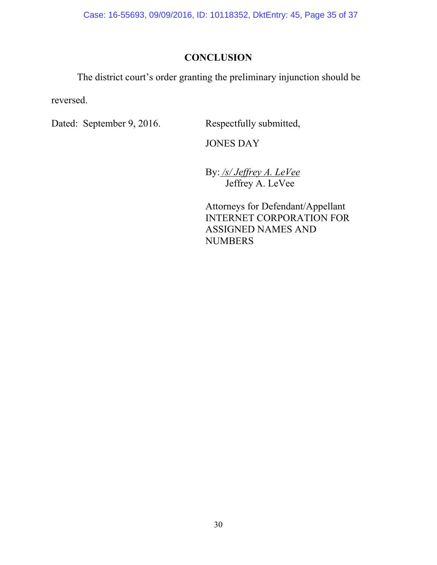Case: 16-55693, 09/09/2016, ID: 10118352, DktEntry: 45, Page 35 of 37

# **CONCLUSION**

The district court's order granting the preliminary injunction should be

reversed.

Dated: September 9, 2016. Respectfully submitted,

JONES DAY

By: */s/ Jeffrey A. LeVee* Jeffrey A. LeVee

Attorneys for Defendant/Appellant INTERNET CORPORATION FOR ASSIGNED NAMES AND NUMBERS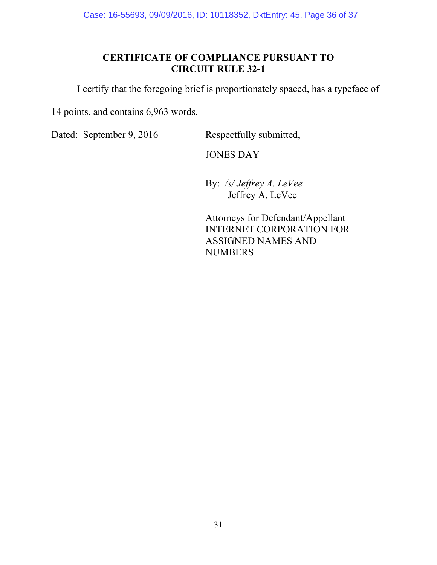Case: 16-55693, 09/09/2016, ID: 10118352, DktEntry: 45, Page 36 of 37

# **CERTIFICATE OF COMPLIANCE PURSUANT TO CIRCUIT RULE 32-1**

I certify that the foregoing brief is proportionately spaced, has a typeface of

14 points, and contains 6,963 words.

Dated: September 9, 2016 Respectfully submitted,

JONES DAY

By: */s/ Jeffrey A. LeVee* Jeffrey A. LeVee

Attorneys for Defendant/Appellant INTERNET CORPORATION FOR ASSIGNED NAMES AND **NUMBERS**